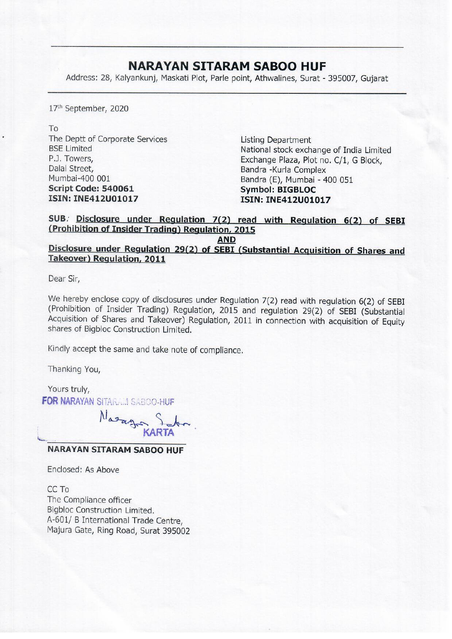## NARAYAN SITARAM SABOO HUF

**NARAYAN SITAF**<br>Address: 28, Kalyankunj, Maskati Plot, Park Address: 28, Kalyankunj, Maskati Plot, Parle point, Athwalines, Surat - 395007, Gujarat

17" September, 2020

To The Deptt of Corporate Services Listing Department Dalal Street, Bandra -Kurla Complex Mumbai-400 001 Bandra (E), Mumbai - 400 051<br> **Script Code: 540061** Symbol: BIGBLOC ISIN: INE412U01017 ISIN: INE412U01017

BSE Limited National stock exchange of India Limited<br>P.J. Towers, Exchange Plaza, Plot no. C/1, G Block,

SUB. Disclosure under Regulation 7(2) read with Regulation 6(2) of SEBI (Prohibition of Insider Trading) Regulation, <sup>2015</sup>

AND<br>
Disclosure under Regulation 29(2) of SEBI (Substantial Acquisition of Shares and<br>
Takeover) Regulation, 2011

Dear Sir,

We hereby enclose copy of disclosures under Regulation 7(2) read with regulation 6(2) of SEBI (Prohibition of Insider Trading) Regulation, 2015 and regulation 29(2) of SEBI (Substantial Acquisition of Shares and Takeover) shares of Bigbloc Construction Limited.

Kindly accept the same and take note of compliance.

Thanking You,

Yours truly, FOR NARAYAN SITAR.... SABOO-HUF

Nasage Salon

## NARAYAN SITARAM SABOO HUF

Enclosed: As Above

CC To The Compliance officer Bigbloc Construction Limited. A-601/ B International Trade Centre, Majura Gate, Ring Road, Surat 395002